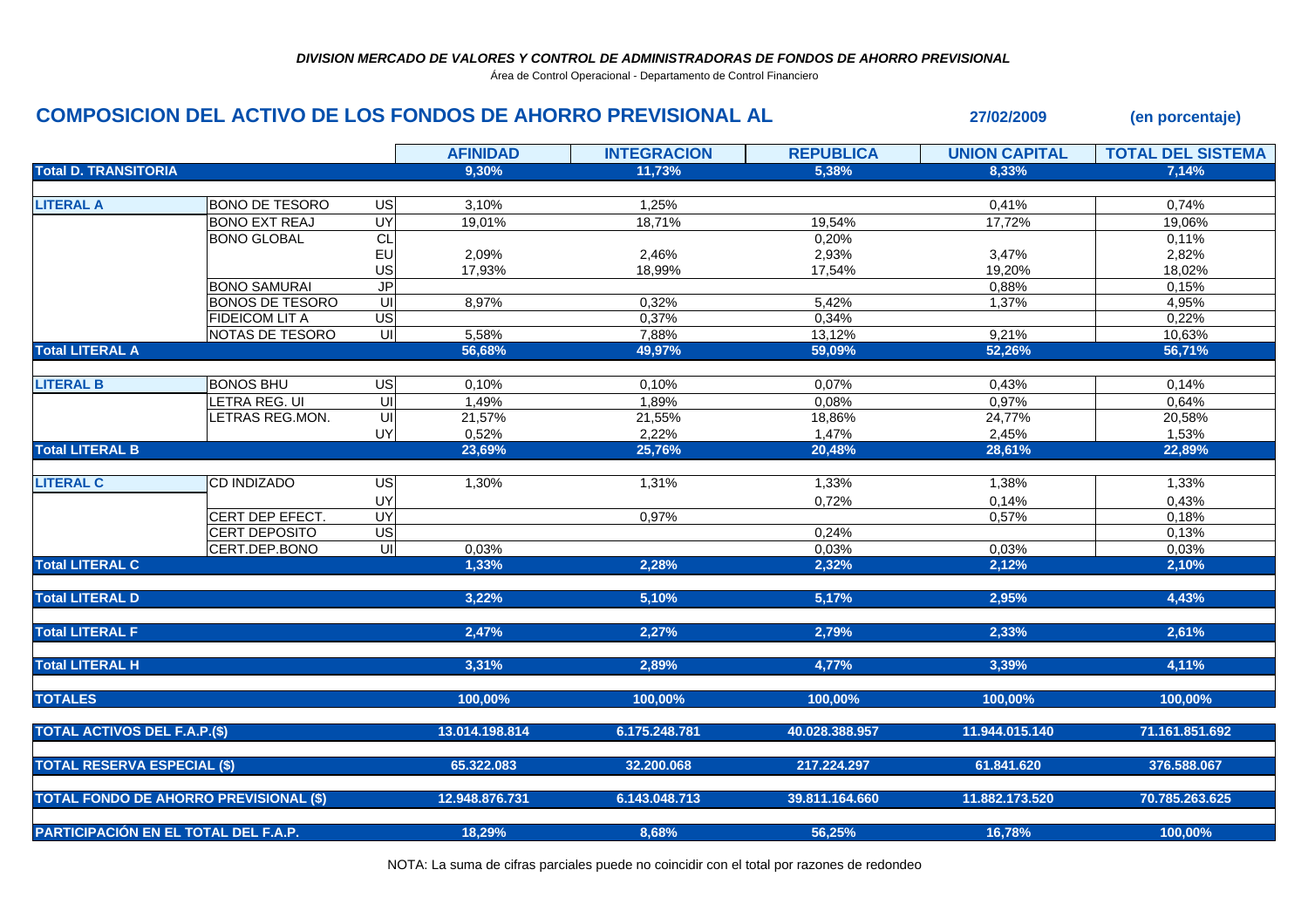Área de Control Operacional - Departamento de Control Financiero

## **COMPOSICION DEL ACTIVO DE LOS FONDOS DE AHORRO PREVISIONAL AL 27/02/2009 (en porcentaje)**

|                                               |                        |                          | <b>AFINIDAD</b> | <b>INTEGRACION</b> | <b>REPUBLICA</b> | <b>UNION CAPITAL</b> | <b>TOTAL DEL SISTEMA</b> |
|-----------------------------------------------|------------------------|--------------------------|-----------------|--------------------|------------------|----------------------|--------------------------|
| <b>Total D. TRANSITORIA</b>                   |                        |                          | 9,30%           | 11.73%             | 5,38%            | 8.33%                | 7.14%                    |
|                                               |                        |                          |                 |                    |                  |                      |                          |
| <b>LITERAL A</b>                              | <b>BONO DE TESORO</b>  | $\overline{S}$           | 3,10%           | 1,25%              |                  | 0,41%                | 0,74%                    |
|                                               | <b>BONO EXT REAJ</b>   | UY                       | 19,01%          | 18,71%             | 19,54%           | 17,72%               | 19,06%                   |
|                                               | <b>BONO GLOBAL</b>     | CL                       |                 |                    | 0,20%            |                      | 0,11%                    |
|                                               |                        | EU                       | 2,09%           | 2,46%              | 2,93%            | 3,47%                | 2,82%                    |
|                                               |                        | US                       | 17,93%          | 18.99%             | 17,54%           | 19,20%               | 18,02%                   |
|                                               | <b>BONO SAMURAI</b>    | $\overline{\mathsf{J}P}$ |                 |                    |                  | 0,88%                | 0,15%                    |
|                                               | <b>BONOS DE TESORO</b> | UI                       | 8,97%           | 0,32%              | 5,42%            | 1,37%                | 4,95%                    |
|                                               | <b>FIDEICOM LIT A</b>  | $\overline{US}$          |                 | 0,37%              | 0,34%            |                      | 0,22%                    |
|                                               | NOTAS DE TESORO        | ਗ                        | 5,58%           | 7,88%              | 13,12%           | 9,21%                | 10,63%                   |
| <b>Total LITERAL A</b>                        |                        |                          | 56,68%          | 49,97%             | 59,09%           | 52,26%               | 56,71%                   |
|                                               |                        |                          |                 |                    |                  |                      |                          |
| <b>LITERAL B</b>                              | <b>BONOS BHU</b>       | US                       | 0,10%           | 0,10%              | 0,07%            | 0,43%                | 0,14%                    |
|                                               | LETRA REG. UI          | $\overline{U}$           | 1,49%           | 1,89%              | 0,08%            | 0,97%                | 0,64%                    |
|                                               | LETRAS REG.MON.        |                          | 21,57%          | 21,55%             | 18,86%           | 24,77%               | 20,58%                   |
|                                               |                        | UY                       | 0,52%           | 2,22%              | 1,47%            | 2,45%                | 1,53%                    |
| <b>Total LITERAL B</b>                        |                        |                          | 23,69%          | 25,76%             | 20,48%           | 28,61%               | 22,89%                   |
| <b>LITERAL C</b>                              | CD INDIZADO            | US                       | 1,30%           | 1,31%              | 1,33%            | 1,38%                | 1,33%                    |
|                                               |                        | UY                       |                 |                    | 0,72%            | 0,14%                | 0,43%                    |
|                                               | CERT DEP EFECT.        | UY                       |                 | 0,97%              |                  | 0,57%                | 0,18%                    |
|                                               | <b>CERT DEPOSITO</b>   | $\overline{US}$          |                 |                    | 0,24%            |                      | 0,13%                    |
|                                               | CERT.DEP.BONO          | $\overline{\mathsf{c}}$  | 0,03%           |                    | 0,03%            | 0,03%                | 0,03%                    |
| <b>Total LITERAL C</b>                        |                        |                          | 1,33%           | 2,28%              | 2,32%            | 2,12%                | 2,10%                    |
|                                               |                        |                          |                 |                    |                  |                      |                          |
| <b>Total LITERAL D</b>                        |                        |                          | 3,22%           | 5,10%              | 5,17%            | 2,95%                | 4,43%                    |
|                                               |                        |                          |                 |                    |                  |                      |                          |
| <b>Total LITERAL F</b>                        |                        |                          | 2,47%           | 2,27%              | 2,79%            | 2,33%                | 2,61%                    |
| <b>Total LITERAL H</b>                        |                        |                          | 3,31%           | 2,89%              | 4,77%            | 3,39%                | 4,11%                    |
|                                               |                        |                          |                 |                    |                  |                      |                          |
| <b>TOTALES</b>                                |                        |                          | 100,00%         | 100,00%            | 100,00%          | 100,00%              | 100,00%                  |
| <b>TOTAL ACTIVOS DEL F.A.P.(\$)</b>           |                        |                          | 13.014.198.814  | 6.175.248.781      | 40.028.388.957   | 11.944.015.140       | 71.161.851.692           |
|                                               |                        |                          |                 |                    |                  |                      |                          |
| <b>TOTAL RESERVA ESPECIAL (\$)</b>            |                        |                          | 65.322.083      | 32.200.068         | 217.224.297      | 61.841.620           | 376.588.067              |
| <b>TOTAL FONDO DE AHORRO PREVISIONAL (\$)</b> |                        |                          | 12.948.876.731  | 6.143.048.713      | 39.811.164.660   | 11.882.173.520       | 70.785.263.625           |
|                                               |                        |                          |                 |                    |                  |                      |                          |
| PARTICIPACIÓN EN EL TOTAL DEL F.A.P.          |                        |                          | 18,29%          | 8,68%              | 56,25%           | 16,78%               | 100,00%                  |

NOTA: La suma de cifras parciales puede no coincidir con el total por razones de redondeo